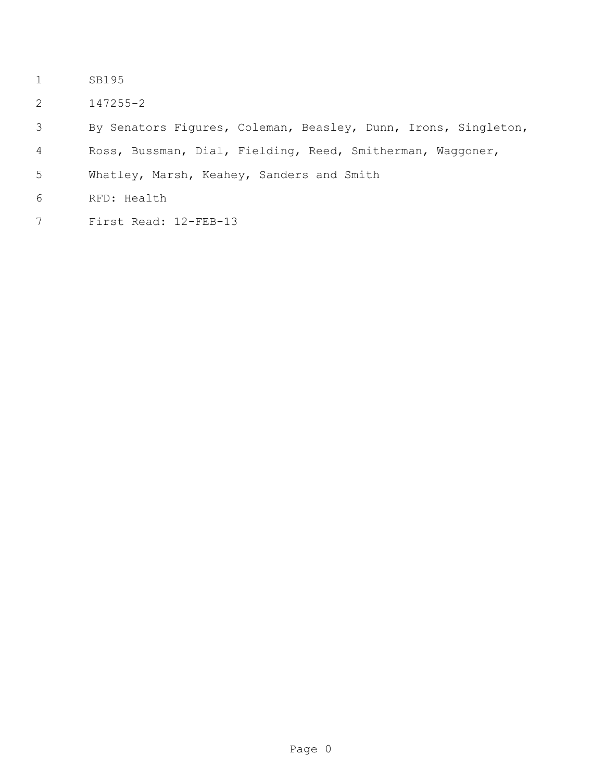- SB195
- 147255-2
- By Senators Figures, Coleman, Beasley, Dunn, Irons, Singleton,
- Ross, Bussman, Dial, Fielding, Reed, Smitherman, Waggoner,
- Whatley, Marsh, Keahey, Sanders and Smith
- RFD: Health
- First Read: 12-FEB-13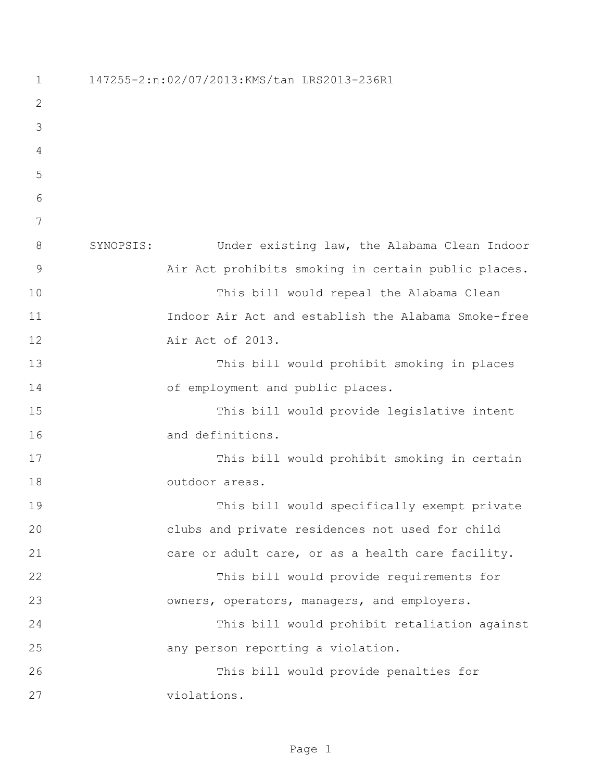147255-2:n:02/07/2013:KMS/tan LRS2013-236R1 SYNOPSIS: Under existing law, the Alabama Clean Indoor Air Act prohibits smoking in certain public places. This bill would repeal the Alabama Clean Indoor Air Act and establish the Alabama Smoke-free Air Act of 2013. This bill would prohibit smoking in places 14 of employment and public places. This bill would provide legislative intent and definitions. This bill would prohibit smoking in certain outdoor areas. This bill would specifically exempt private clubs and private residences not used for child 21 care or adult care, or as a health care facility. This bill would provide requirements for owners, operators, managers, and employers. This bill would prohibit retaliation against any person reporting a violation. This bill would provide penalties for violations.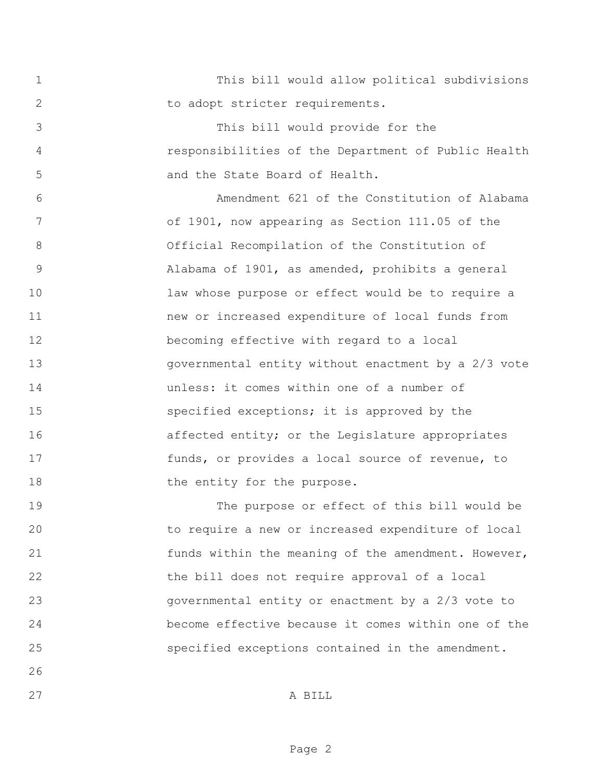This bill would allow political subdivisions 2 to adopt stricter requirements.

 This bill would provide for the responsibilities of the Department of Public Health and the State Board of Health.

 Amendment 621 of the Constitution of Alabama of 1901, now appearing as Section 111.05 of the Official Recompilation of the Constitution of Alabama of 1901, as amended, prohibits a general law whose purpose or effect would be to require a new or increased expenditure of local funds from becoming effective with regard to a local governmental entity without enactment by a 2/3 vote unless: it comes within one of a number of specified exceptions; it is approved by the 16 affected entity; or the Legislature appropriates 17 funds, or provides a local source of revenue, to 18 the entity for the purpose.

 The purpose or effect of this bill would be to require a new or increased expenditure of local 21 funds within the meaning of the amendment. However, the bill does not require approval of a local governmental entity or enactment by a 2/3 vote to become effective because it comes within one of the specified exceptions contained in the amendment.

A BILL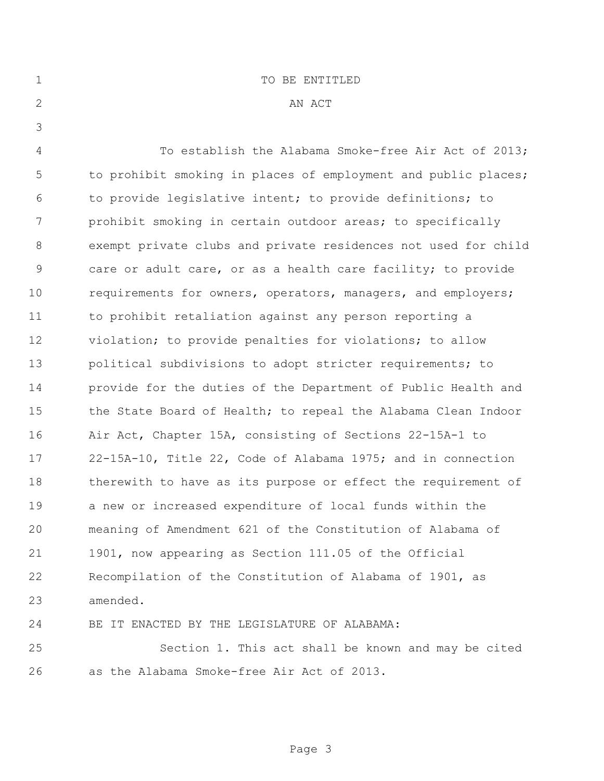| $\mathbf 1$   | TO BE ENTITLED                                                 |
|---------------|----------------------------------------------------------------|
| 2             | AN ACT                                                         |
| 3             |                                                                |
| 4             | To establish the Alabama Smoke-free Air Act of 2013;           |
| 5             | to prohibit smoking in places of employment and public places; |
| 6             | to provide legislative intent; to provide definitions; to      |
| 7             | prohibit smoking in certain outdoor areas; to specifically     |
| 8             | exempt private clubs and private residences not used for child |
| $\mathcal{G}$ | care or adult care, or as a health care facility; to provide   |
| 10            | requirements for owners, operators, managers, and employers;   |
| 11            | to prohibit retaliation against any person reporting a         |
| 12            | violation; to provide penalties for violations; to allow       |
| 13            | political subdivisions to adopt stricter requirements; to      |
| 14            | provide for the duties of the Department of Public Health and  |
| 15            | the State Board of Health; to repeal the Alabama Clean Indoor  |
| 16            | Air Act, Chapter 15A, consisting of Sections 22-15A-1 to       |
| 17            | 22-15A-10, Title 22, Code of Alabama 1975; and in connection   |
| 18            | therewith to have as its purpose or effect the requirement of  |
| 19            | a new or increased expenditure of local funds within the       |
| 20            | meaning of Amendment 621 of the Constitution of Alabama of     |
| 21            | 1901, now appearing as Section 111.05 of the Official          |
| 22            | Recompilation of the Constitution of Alabama of 1901, as       |
| 23            | amended.                                                       |
| 24            | BE IT ENACTED BY THE LEGISLATURE OF ALABAMA:                   |

 Section 1. This act shall be known and may be cited as the Alabama Smoke-free Air Act of 2013.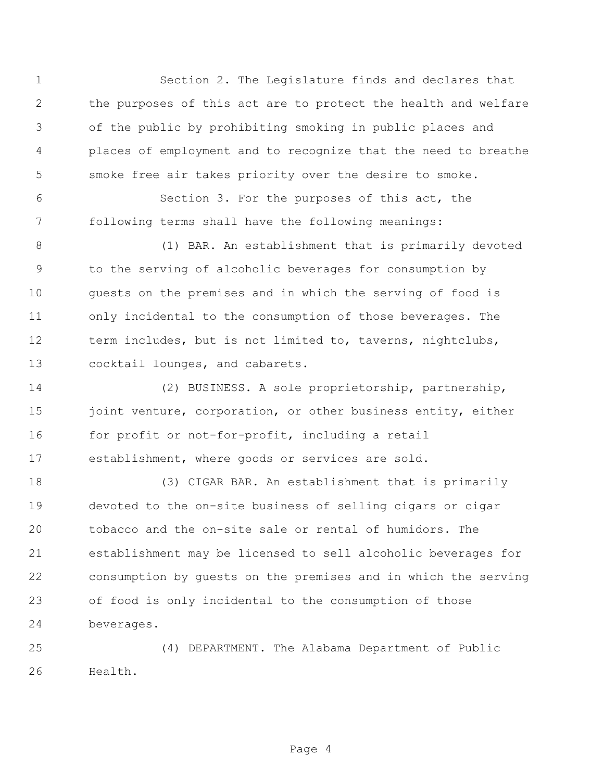Section 2. The Legislature finds and declares that the purposes of this act are to protect the health and welfare of the public by prohibiting smoking in public places and places of employment and to recognize that the need to breathe smoke free air takes priority over the desire to smoke.

 Section 3. For the purposes of this act, the following terms shall have the following meanings:

 (1) BAR. An establishment that is primarily devoted to the serving of alcoholic beverages for consumption by guests on the premises and in which the serving of food is only incidental to the consumption of those beverages. The term includes, but is not limited to, taverns, nightclubs, cocktail lounges, and cabarets.

 (2) BUSINESS. A sole proprietorship, partnership, 15 joint venture, corporation, or other business entity, either 16 for profit or not-for-profit, including a retail establishment, where goods or services are sold.

 (3) CIGAR BAR. An establishment that is primarily devoted to the on-site business of selling cigars or cigar tobacco and the on-site sale or rental of humidors. The establishment may be licensed to sell alcoholic beverages for consumption by guests on the premises and in which the serving of food is only incidental to the consumption of those beverages.

 (4) DEPARTMENT. The Alabama Department of Public Health.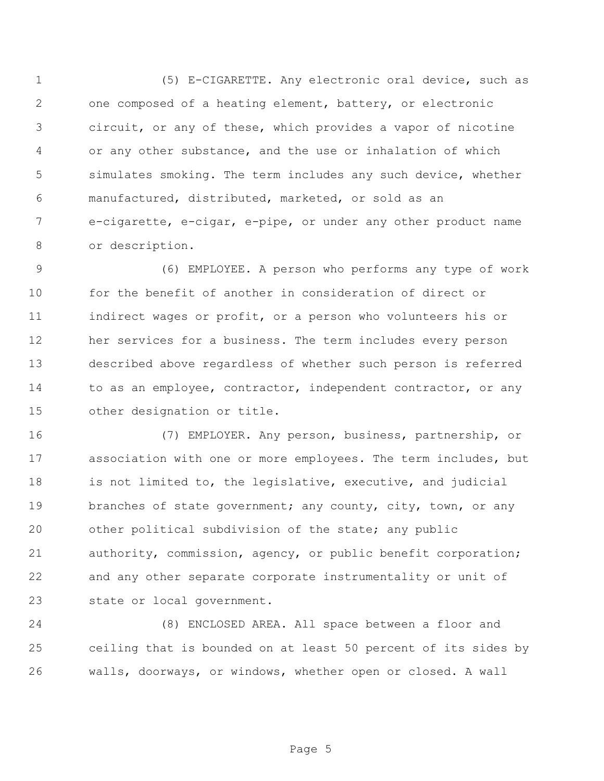(5) E-CIGARETTE. Any electronic oral device, such as one composed of a heating element, battery, or electronic circuit, or any of these, which provides a vapor of nicotine or any other substance, and the use or inhalation of which simulates smoking. The term includes any such device, whether manufactured, distributed, marketed, or sold as an e-cigarette, e-cigar, e-pipe, or under any other product name or description.

 (6) EMPLOYEE. A person who performs any type of work for the benefit of another in consideration of direct or indirect wages or profit, or a person who volunteers his or her services for a business. The term includes every person described above regardless of whether such person is referred 14 to as an employee, contractor, independent contractor, or any other designation or title.

 (7) EMPLOYER. Any person, business, partnership, or association with one or more employees. The term includes, but is not limited to, the legislative, executive, and judicial 19 branches of state government; any county, city, town, or any other political subdivision of the state; any public authority, commission, agency, or public benefit corporation; and any other separate corporate instrumentality or unit of state or local government.

 (8) ENCLOSED AREA. All space between a floor and ceiling that is bounded on at least 50 percent of its sides by walls, doorways, or windows, whether open or closed. A wall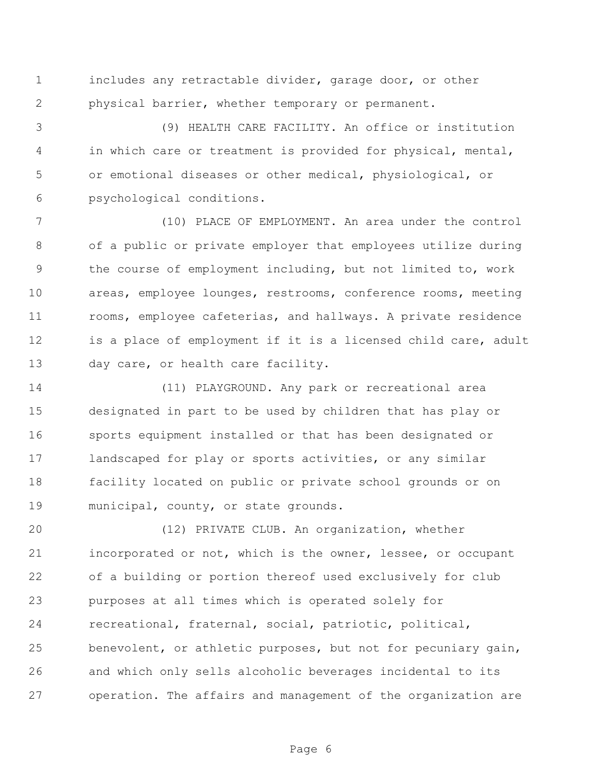includes any retractable divider, garage door, or other physical barrier, whether temporary or permanent.

 (9) HEALTH CARE FACILITY. An office or institution in which care or treatment is provided for physical, mental, or emotional diseases or other medical, physiological, or psychological conditions.

 (10) PLACE OF EMPLOYMENT. An area under the control of a public or private employer that employees utilize during the course of employment including, but not limited to, work areas, employee lounges, restrooms, conference rooms, meeting rooms, employee cafeterias, and hallways. A private residence 12 is a place of employment if it is a licensed child care, adult day care, or health care facility.

 (11) PLAYGROUND. Any park or recreational area designated in part to be used by children that has play or sports equipment installed or that has been designated or landscaped for play or sports activities, or any similar facility located on public or private school grounds or on municipal, county, or state grounds.

 (12) PRIVATE CLUB. An organization, whether incorporated or not, which is the owner, lessee, or occupant of a building or portion thereof used exclusively for club purposes at all times which is operated solely for recreational, fraternal, social, patriotic, political, benevolent, or athletic purposes, but not for pecuniary gain, and which only sells alcoholic beverages incidental to its operation. The affairs and management of the organization are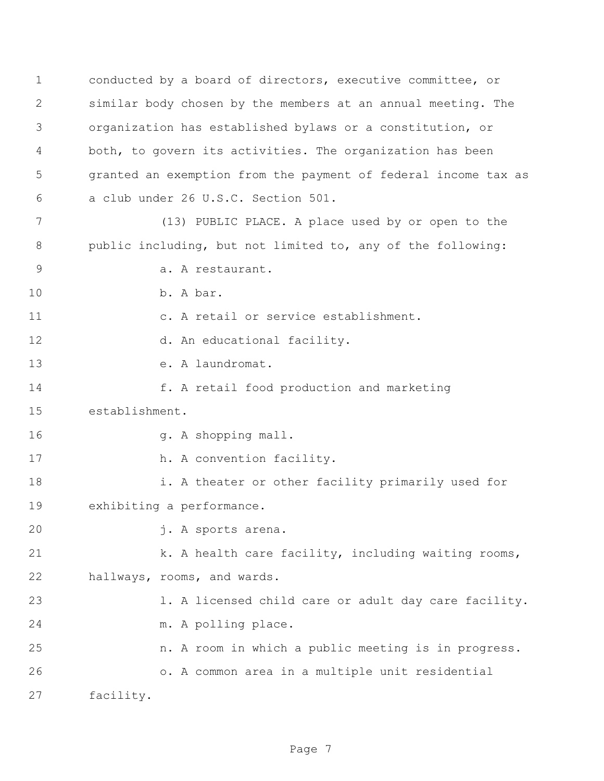conducted by a board of directors, executive committee, or similar body chosen by the members at an annual meeting. The organization has established bylaws or a constitution, or both, to govern its activities. The organization has been granted an exemption from the payment of federal income tax as a club under 26 U.S.C. Section 501.

 (13) PUBLIC PLACE. A place used by or open to the public including, but not limited to, any of the following: 9 a. A restaurant.

b. A bar.

c. A retail or service establishment.

12 d. An educational facility.

e. A laundromat.

**f.** A retail food production and marketing

establishment.

16 g. A shopping mall.

17 h. A convention facility.

 i. A theater or other facility primarily used for exhibiting a performance.

j. A sports arena.

21 k. A health care facility, including waiting rooms, hallways, rooms, and wards.

 l. A licensed child care or adult day care facility. m. A polling place.

n. A room in which a public meeting is in progress.

 o. A common area in a multiple unit residential facility.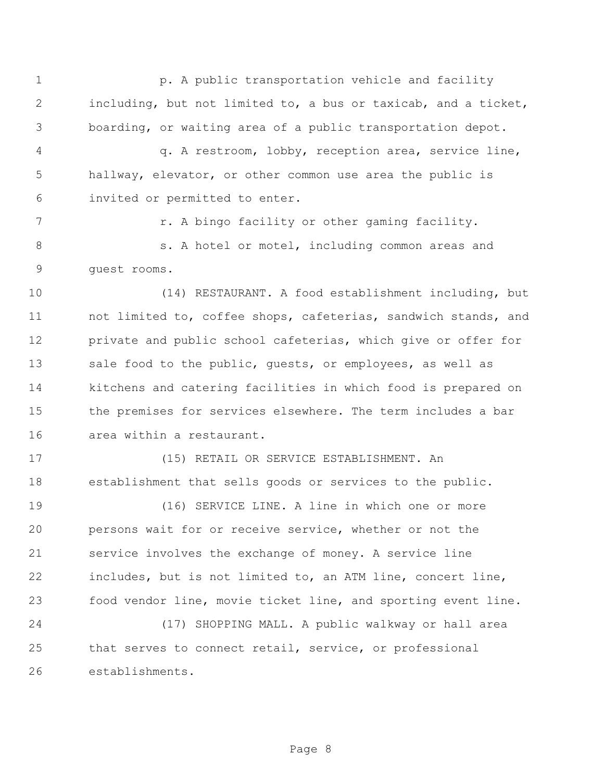**p. A public transportation vehicle and facility**  including, but not limited to, a bus or taxicab, and a ticket, boarding, or waiting area of a public transportation depot.

 q. A restroom, lobby, reception area, service line, hallway, elevator, or other common use area the public is invited or permitted to enter.

7 The R. A bingo facility or other gaming facility.

8 s. A hotel or motel, including common areas and guest rooms.

 (14) RESTAURANT. A food establishment including, but not limited to, coffee shops, cafeterias, sandwich stands, and 12 private and public school cafeterias, which give or offer for 13 sale food to the public, quests, or employees, as well as kitchens and catering facilities in which food is prepared on the premises for services elsewhere. The term includes a bar area within a restaurant.

 (15) RETAIL OR SERVICE ESTABLISHMENT. An establishment that sells goods or services to the public.

 (16) SERVICE LINE. A line in which one or more persons wait for or receive service, whether or not the service involves the exchange of money. A service line includes, but is not limited to, an ATM line, concert line, food vendor line, movie ticket line, and sporting event line.

 (17) SHOPPING MALL. A public walkway or hall area that serves to connect retail, service, or professional establishments.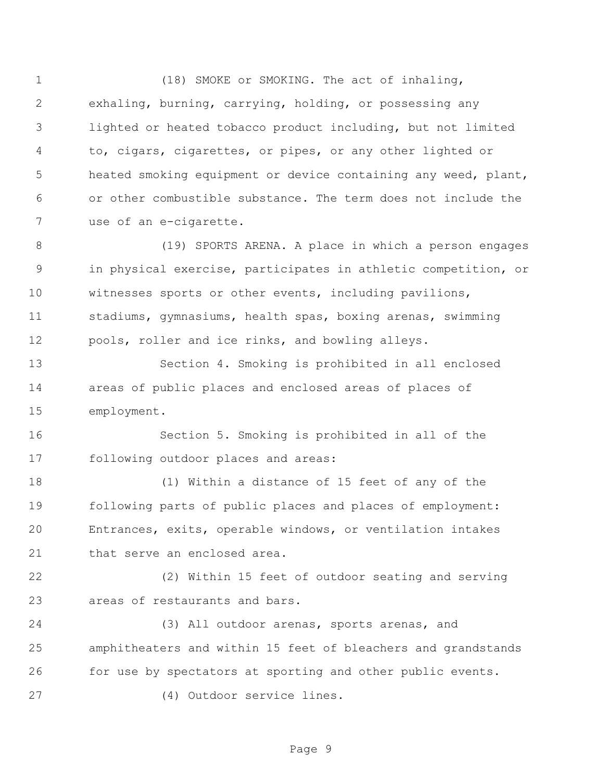1 (18) SMOKE or SMOKING. The act of inhaling, exhaling, burning, carrying, holding, or possessing any lighted or heated tobacco product including, but not limited to, cigars, cigarettes, or pipes, or any other lighted or heated smoking equipment or device containing any weed, plant, or other combustible substance. The term does not include the use of an e-cigarette.

 (19) SPORTS ARENA. A place in which a person engages in physical exercise, participates in athletic competition, or witnesses sports or other events, including pavilions, stadiums, gymnasiums, health spas, boxing arenas, swimming pools, roller and ice rinks, and bowling alleys.

 Section 4. Smoking is prohibited in all enclosed areas of public places and enclosed areas of places of employment.

 Section 5. Smoking is prohibited in all of the following outdoor places and areas:

 (1) Within a distance of 15 feet of any of the following parts of public places and places of employment: Entrances, exits, operable windows, or ventilation intakes 21 that serve an enclosed area.

 (2) Within 15 feet of outdoor seating and serving areas of restaurants and bars.

 (3) All outdoor arenas, sports arenas, and amphitheaters and within 15 feet of bleachers and grandstands for use by spectators at sporting and other public events.

(4) Outdoor service lines.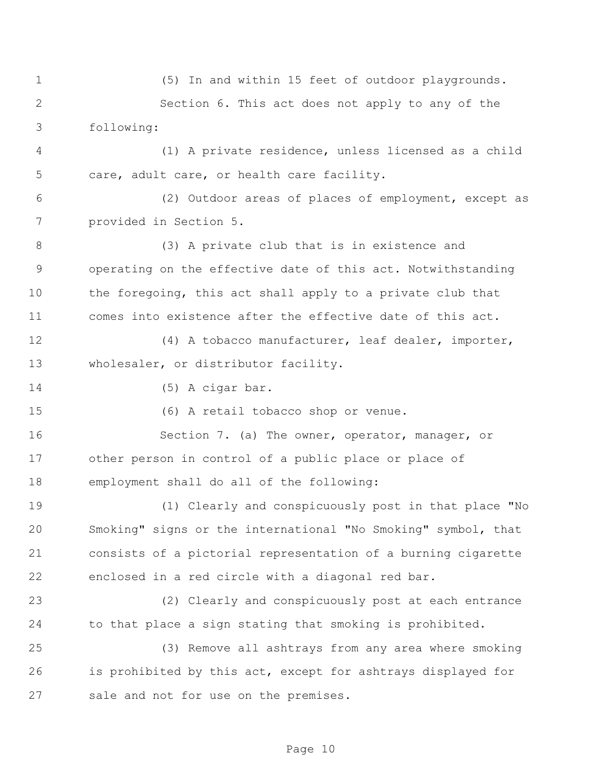(5) In and within 15 feet of outdoor playgrounds. Section 6. This act does not apply to any of the following: (1) A private residence, unless licensed as a child care, adult care, or health care facility. (2) Outdoor areas of places of employment, except as provided in Section 5. (3) A private club that is in existence and operating on the effective date of this act. Notwithstanding the foregoing, this act shall apply to a private club that comes into existence after the effective date of this act. 12 (4) A tobacco manufacturer, leaf dealer, importer, wholesaler, or distributor facility. (5) A cigar bar. (6) A retail tobacco shop or venue. Section 7. (a) The owner, operator, manager, or other person in control of a public place or place of employment shall do all of the following: (1) Clearly and conspicuously post in that place "No Smoking" signs or the international "No Smoking" symbol, that consists of a pictorial representation of a burning cigarette enclosed in a red circle with a diagonal red bar. (2) Clearly and conspicuously post at each entrance to that place a sign stating that smoking is prohibited. (3) Remove all ashtrays from any area where smoking is prohibited by this act, except for ashtrays displayed for sale and not for use on the premises.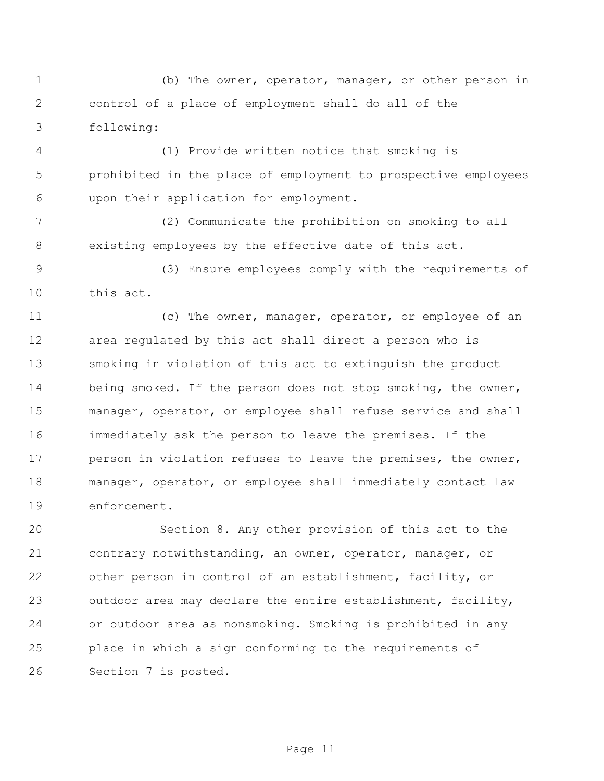(b) The owner, operator, manager, or other person in control of a place of employment shall do all of the following:

 (1) Provide written notice that smoking is prohibited in the place of employment to prospective employees upon their application for employment.

 (2) Communicate the prohibition on smoking to all existing employees by the effective date of this act.

 (3) Ensure employees comply with the requirements of this act.

11 (c) The owner, manager, operator, or employee of an area regulated by this act shall direct a person who is smoking in violation of this act to extinguish the product 14 being smoked. If the person does not stop smoking, the owner, manager, operator, or employee shall refuse service and shall immediately ask the person to leave the premises. If the 17 person in violation refuses to leave the premises, the owner, manager, operator, or employee shall immediately contact law enforcement.

 Section 8. Any other provision of this act to the contrary notwithstanding, an owner, operator, manager, or other person in control of an establishment, facility, or outdoor area may declare the entire establishment, facility, or outdoor area as nonsmoking. Smoking is prohibited in any place in which a sign conforming to the requirements of Section 7 is posted.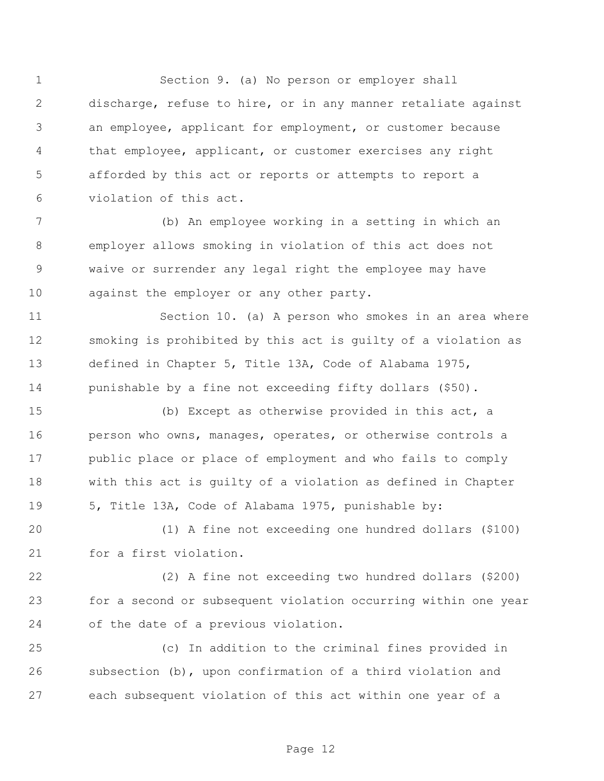Section 9. (a) No person or employer shall discharge, refuse to hire, or in any manner retaliate against an employee, applicant for employment, or customer because that employee, applicant, or customer exercises any right afforded by this act or reports or attempts to report a violation of this act.

 (b) An employee working in a setting in which an employer allows smoking in violation of this act does not waive or surrender any legal right the employee may have 10 against the employer or any other party.

11 Section 10. (a) A person who smokes in an area where smoking is prohibited by this act is guilty of a violation as defined in Chapter 5, Title 13A, Code of Alabama 1975, punishable by a fine not exceeding fifty dollars (\$50).

 (b) Except as otherwise provided in this act, a person who owns, manages, operates, or otherwise controls a public place or place of employment and who fails to comply with this act is guilty of a violation as defined in Chapter 5, Title 13A, Code of Alabama 1975, punishable by:

 (1) A fine not exceeding one hundred dollars (\$100) for a first violation.

 (2) A fine not exceeding two hundred dollars (\$200) for a second or subsequent violation occurring within one year of the date of a previous violation.

 (c) In addition to the criminal fines provided in subsection (b), upon confirmation of a third violation and each subsequent violation of this act within one year of a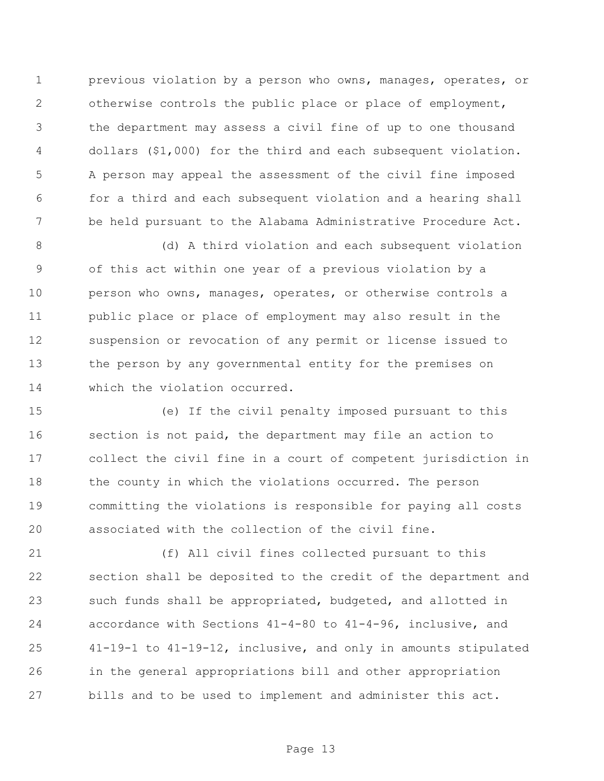previous violation by a person who owns, manages, operates, or otherwise controls the public place or place of employment, the department may assess a civil fine of up to one thousand dollars (\$1,000) for the third and each subsequent violation. A person may appeal the assessment of the civil fine imposed for a third and each subsequent violation and a hearing shall be held pursuant to the Alabama Administrative Procedure Act.

 (d) A third violation and each subsequent violation of this act within one year of a previous violation by a person who owns, manages, operates, or otherwise controls a public place or place of employment may also result in the suspension or revocation of any permit or license issued to the person by any governmental entity for the premises on which the violation occurred.

 (e) If the civil penalty imposed pursuant to this section is not paid, the department may file an action to collect the civil fine in a court of competent jurisdiction in 18 the county in which the violations occurred. The person committing the violations is responsible for paying all costs associated with the collection of the civil fine.

 (f) All civil fines collected pursuant to this section shall be deposited to the credit of the department and such funds shall be appropriated, budgeted, and allotted in accordance with Sections 41-4-80 to 41-4-96, inclusive, and 41-19-1 to 41-19-12, inclusive, and only in amounts stipulated in the general appropriations bill and other appropriation bills and to be used to implement and administer this act.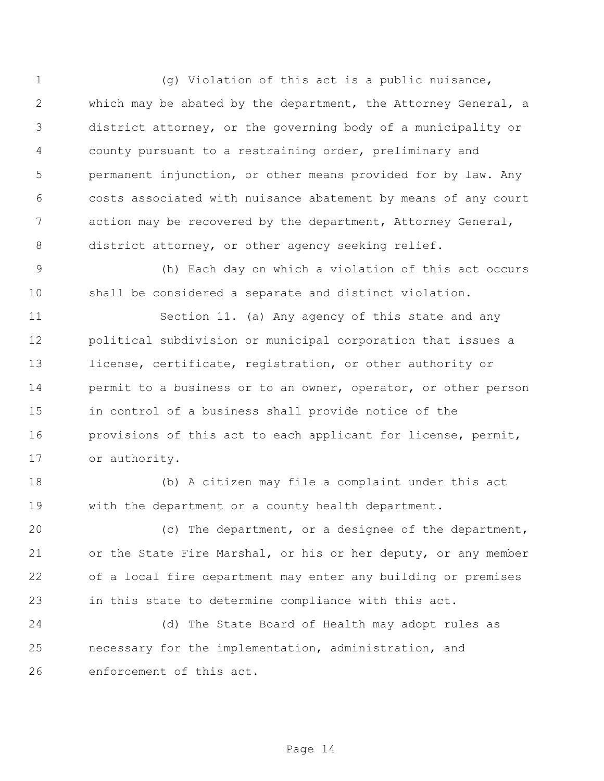(g) Violation of this act is a public nuisance, which may be abated by the department, the Attorney General, a district attorney, or the governing body of a municipality or county pursuant to a restraining order, preliminary and permanent injunction, or other means provided for by law. Any costs associated with nuisance abatement by means of any court action may be recovered by the department, Attorney General, 8 district attorney, or other agency seeking relief.

 (h) Each day on which a violation of this act occurs shall be considered a separate and distinct violation.

 Section 11. (a) Any agency of this state and any political subdivision or municipal corporation that issues a license, certificate, registration, or other authority or permit to a business or to an owner, operator, or other person in control of a business shall provide notice of the provisions of this act to each applicant for license, permit, or authority.

 (b) A citizen may file a complaint under this act with the department or a county health department.

 (c) The department, or a designee of the department, or the State Fire Marshal, or his or her deputy, or any member of a local fire department may enter any building or premises in this state to determine compliance with this act.

 (d) The State Board of Health may adopt rules as necessary for the implementation, administration, and enforcement of this act.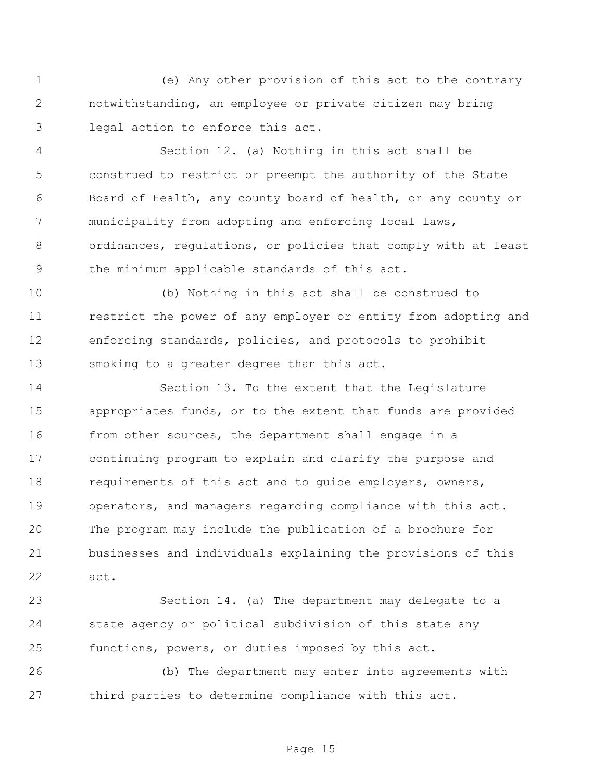(e) Any other provision of this act to the contrary notwithstanding, an employee or private citizen may bring legal action to enforce this act.

 Section 12. (a) Nothing in this act shall be construed to restrict or preempt the authority of the State Board of Health, any county board of health, or any county or 7 municipality from adopting and enforcing local laws, ordinances, regulations, or policies that comply with at least the minimum applicable standards of this act.

 (b) Nothing in this act shall be construed to restrict the power of any employer or entity from adopting and enforcing standards, policies, and protocols to prohibit smoking to a greater degree than this act.

 Section 13. To the extent that the Legislature appropriates funds, or to the extent that funds are provided 16 from other sources, the department shall engage in a continuing program to explain and clarify the purpose and requirements of this act and to guide employers, owners, operators, and managers regarding compliance with this act. The program may include the publication of a brochure for businesses and individuals explaining the provisions of this act.

 Section 14. (a) The department may delegate to a state agency or political subdivision of this state any functions, powers, or duties imposed by this act.

 (b) The department may enter into agreements with third parties to determine compliance with this act.